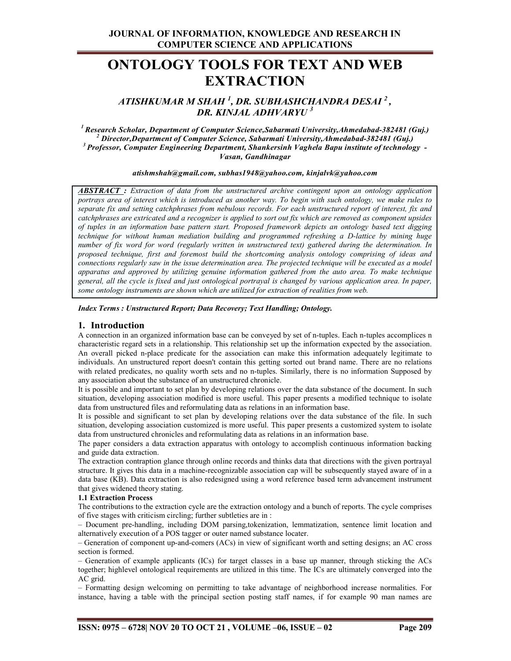# ONTOLOGY TOOLS FOR TEXT AND WEB EXTRACTION

ATISHKUMAR M SHAH <sup>1</sup>, DR. SUBHASHCHANDRA DESAI <sup>2</sup> ,<br>DR. KINJAL ADHVARYU <sup>3</sup>

<sup>1</sup> Research Scholar, Department of Computer Science, Sabarmati University, Ahmedabad-382481 (Guj.)<br><sup>2</sup> Director, Department of Computer Science, Sabarmati University, Ahmedabad-382481 (Guj.)  $3$  Professor, Computer Engineering Department, Shankersinh Vaghela Bapu institute of technology -Vasan, Gandhinagar

atishmshah@gmail.com, subhas1948@yahoo.com, kinjalvk@yahoo.com

**ABSTRACT**: Extraction of data from the unstructured archive contingent upon an ontology application portrays area of interest which is introduced as another way. To begin with such ontology, we make rules to separate fix and setting catchphrases from nebulous records. For each unstructured report of interest, fix and catchphrases are extricated and a recognizer is applied to sort out fix which are removed as component upsides of tuples in an information base pattern start. Proposed framework depicts an ontology based text digging technique for without human mediation building and programmed refreshing a D-lattice by mining huge number of fix word for word (regularly written in unstructured text) gathered during the determination. In proposed technique, first and foremost build the shortcoming analysis ontology comprising of ideas and connections regularly saw in the issue determination area. The projected technique will be executed as a model apparatus and approved by utilizing genuine information gathered from the auto area. To make technique general, all the cycle is fixed and just ontological portrayal is changed by various application area. In paper, some ontology instruments are shown which are utilized for extraction of realities from web.

Index Terms : Unstructured Report; Data Recovery; Text Handling; Ontology.

#### 1. Introduction

A connection in an organized information base can be conveyed by set of n-tuples. Each n-tuples accomplices n characteristic regard sets in a relationship. This relationship set up the information expected by the association. An overall picked n-place predicate for the association can make this information adequately legitimate to individuals. An unstructured report doesn't contain this getting sorted out brand name. There are no relations with related predicates, no quality worth sets and no n-tuples. Similarly, there is no information Supposed by any association about the substance of an unstructured chronicle.

It is possible and important to set plan by developing relations over the data substance of the document. In such situation, developing association modified is more useful. This paper presents a modified technique to isolate data from unstructured files and reformulating data as relations in an information base.

It is possible and significant to set plan by developing relations over the data substance of the file. In such situation, developing association customized is more useful. This paper presents a customized system to isolate data from unstructured chronicles and reformulating data as relations in an information base.

The paper considers a data extraction apparatus with ontology to accomplish continuous information backing and guide data extraction.

The extraction contraption glance through online records and thinks data that directions with the given portrayal structure. It gives this data in a machine-recognizable association cap will be subsequently stayed aware of in a data base (KB). Data extraction is also redesigned using a word reference based term advancement instrument that gives widened theory stating.

#### 1.1 Extraction Process

The contributions to the extraction cycle are the extraction ontology and a bunch of reports. The cycle comprises of five stages with criticism circling; further subtleties are in :

– Document pre-handling, including DOM parsing,tokenization, lemmatization, sentence limit location and alternatively execution of a POS tagger or outer named substance locater.

– Generation of component up-and-comers (ACs) in view of significant worth and setting designs; an AC cross section is formed.

– Generation of example applicants (ICs) for target classes in a base up manner, through sticking the ACs together; highlevel ontological requirements are utilized in this time. The ICs are ultimately converged into the AC grid.

– Formatting design welcoming on permitting to take advantage of neighborhood increase normalities. For instance, having a table with the principal section posting staff names, if for example 90 man names are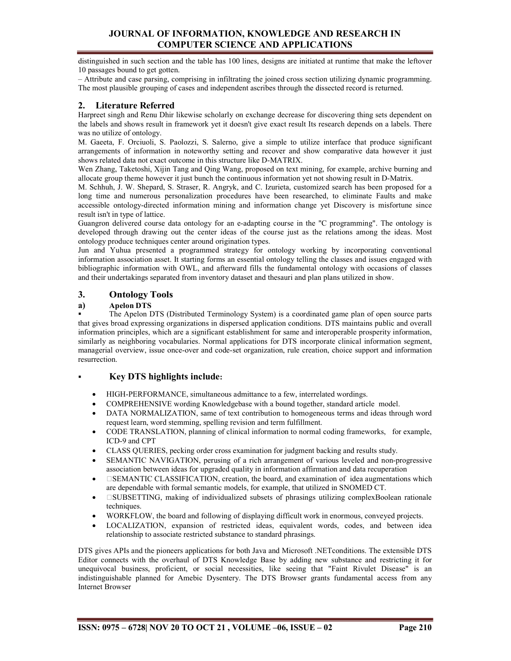# JOURNAL OF INFORMATION, KNOWLEDGE AND RESEARCH IN COMPUTER SCIENCE AND APPLICATIONS

distinguished in such section and the table has 100 lines, designs are initiated at runtime that make the leftover 10 passages bound to get gotten.

– Attribute and case parsing, comprising in infiltrating the joined cross section utilizing dynamic programming. The most plausible grouping of cases and independent ascribes through the dissected record is returned.

# 2. Literature Referred

Harpreet singh and Renu Dhir likewise scholarly on exchange decrease for discovering thing sets dependent on the labels and shows result in framework yet it doesn't give exact result Its research depends on a labels. There was no utilize of ontology.

M. Gaeeta, F. Orciuoli, S. Paolozzi, S. Salerno, give a simple to utilize interface that produce significant arrangements of information in noteworthy setting and recover and show comparative data however it just shows related data not exact outcome in this structure like D-MATRIX.

Wen Zhang, Taketoshi, Xijin Tang and Qing Wang, proposed on text mining, for example, archive burning and allocate group theme however it just bunch the continuous information yet not showing result in D-Matrix.

M. Schhuh, J. W. Shepard, S. Straser, R. Angryk, and C. Izurieta, customized search has been proposed for a long time and numerous personalization procedures have been researched, to eliminate Faults and make accessible ontology-directed information mining and information change yet Discovery is misfortune since result isn't in type of lattice.

Guangron delivered course data ontology for an e-adapting course in the "C programming". The ontology is developed through drawing out the center ideas of the course just as the relations among the ideas. Most ontology produce techniques center around origination types.

Jun and Yuhua presented a programmed strategy for ontology working by incorporating conventional information association asset. It starting forms an essential ontology telling the classes and issues engaged with bibliographic information with OWL, and afterward fills the fundamental ontology with occasions of classes and their undertakings separated from inventory dataset and thesauri and plan plans utilized in show.

## 3. Ontology Tools

#### a) Apelon DTS

 The Apelon DTS (Distributed Terminology System) is a coordinated game plan of open source parts that gives broad expressing organizations in dispersed application conditions. DTS maintains public and overall information principles, which are a significant establishment for same and interoperable prosperity information, similarly as neighboring vocabularies. Normal applications for DTS incorporate clinical information segment, managerial overview, issue once-over and code-set organization, rule creation, choice support and information resurrection.

## Key DTS highlights include:

- HIGH-PERFORMANCE, simultaneous admittance to a few, interrelated wordings.
- COMPREHENSIVE wording Knowledgebase with a bound together, standard article model.
- DATA NORMALIZATION, same of text contribution to homogeneous terms and ideas through word request learn, word stemming, spelling revision and term fulfillment.
- CODE TRANSLATION, planning of clinical information to normal coding frameworks, for example, ICD-9 and CPT
- CLASS QUERIES, pecking order cross examination for judgment backing and results study.
- SEMANTIC NAVIGATION, perusing of a rich arrangement of various leveled and non-progressive association between ideas for upgraded quality in information affirmation and data recuperation
- SEMANTIC CLASSIFICATION, creation, the board, and examination of idea augmentations which are dependable with formal semantic models, for example, that utilized in SNOMED CT.
- SUBSETTING, making of individualized subsets of phrasings utilizing complexBoolean rationale techniques.
- WORKFLOW, the board and following of displaying difficult work in enormous, conveyed projects.
- LOCALIZATION, expansion of restricted ideas, equivalent words, codes, and between idea relationship to associate restricted substance to standard phrasings.

DTS gives APIs and the pioneers applications for both Java and Microsoft .NETconditions. The extensible DTS Editor connects with the overhaul of DTS Knowledge Base by adding new substance and restricting it for unequivocal business, proficient, or social necessities, like seeing that "Faint Rivulet Disease" is an indistinguishable planned for Amebic Dysentery. The DTS Browser grants fundamental access from any Internet Browser